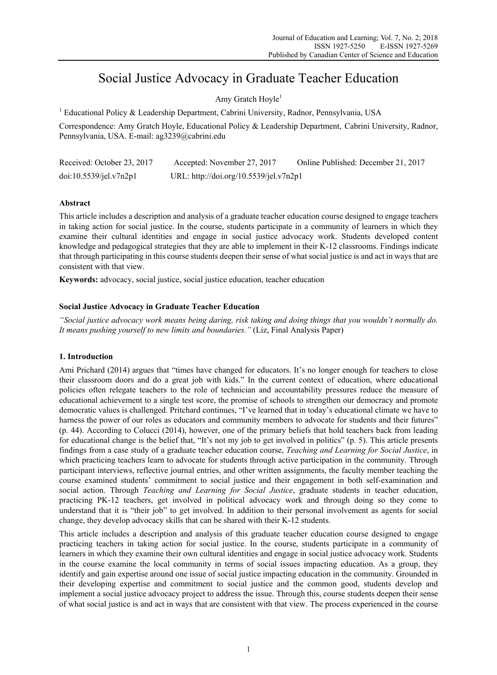# Social Justice Advocacy in Graduate Teacher Education

Amy Gratch Hoyle<sup>1</sup>

<sup>1</sup> Educational Policy & Leadership Department, Cabrini University, Radnor, Pennsylvania, USA

Correspondence: Amy Gratch Hoyle, Educational Policy & Leadership Department, Cabrini University, Radnor, Pennsylvania, USA. E-mail: ag3239@cabrini.edu

| Received: October 23, 2017 | Accepted: November 27, 2017            | Online Published: December 21, 2017 |
|----------------------------|----------------------------------------|-------------------------------------|
| doi:10.5539/jel.v7n2p1     | URL: http://doi.org/10.5539/jel.v7n2p1 |                                     |

## **Abstract**

This article includes a description and analysis of a graduate teacher education course designed to engage teachers in taking action for social justice. In the course, students participate in a community of learners in which they examine their cultural identities and engage in social justice advocacy work. Students developed content knowledge and pedagogical strategies that they are able to implement in their K-12 classrooms. Findings indicate that through participating in this course students deepen their sense of what social justice is and act in ways that are consistent with that view.

**Keywords:** advocacy, social justice, social justice education, teacher education

## **Social Justice Advocacy in Graduate Teacher Education**

*"Social justice advocacy work means being daring, risk taking and doing things that you wouldn't normally do. It means pushing yourself to new limits and boundaries."* (Liz, Final Analysis Paper)

## **1. Introduction**

Ami Prichard (2014) argues that "times have changed for educators. It's no longer enough for teachers to close their classroom doors and do a great job with kids." In the current context of education, where educational policies often relegate teachers to the role of technician and accountability pressures reduce the measure of educational achievement to a single test score, the promise of schools to strengthen our democracy and promote democratic values is challenged. Pritchard continues, "I've learned that in today's educational climate we have to harness the power of our roles as educators and community members to advocate for students and their futures" (p. 44). According to Colucci (2014), however, one of the primary beliefs that hold teachers back from leading for educational change is the belief that, "It's not my job to get involved in politics" (p. 5). This article presents findings from a case study of a graduate teacher education course, *Teaching and Learning for Social Justice*, in which practicing teachers learn to advocate for students through active participation in the community. Through participant interviews, reflective journal entries, and other written assignments, the faculty member teaching the course examined students' commitment to social justice and their engagement in both self-examination and social action. Through *Teaching and Learning for Social Justice*, graduate students in teacher education, practicing PK-12 teachers, get involved in political advocacy work and through doing so they come to understand that it is "their job" to get involved. In addition to their personal involvement as agents for social change, they develop advocacy skills that can be shared with their K-12 students.

This article includes a description and analysis of this graduate teacher education course designed to engage practicing teachers in taking action for social justice. In the course, students participate in a community of learners in which they examine their own cultural identities and engage in social justice advocacy work. Students in the course examine the local community in terms of social issues impacting education. As a group, they identify and gain expertise around one issue of social justice impacting education in the community. Grounded in their developing expertise and commitment to social justice and the common good, students develop and implement a social justice advocacy project to address the issue. Through this, course students deepen their sense of what social justice is and act in ways that are consistent with that view. The process experienced in the course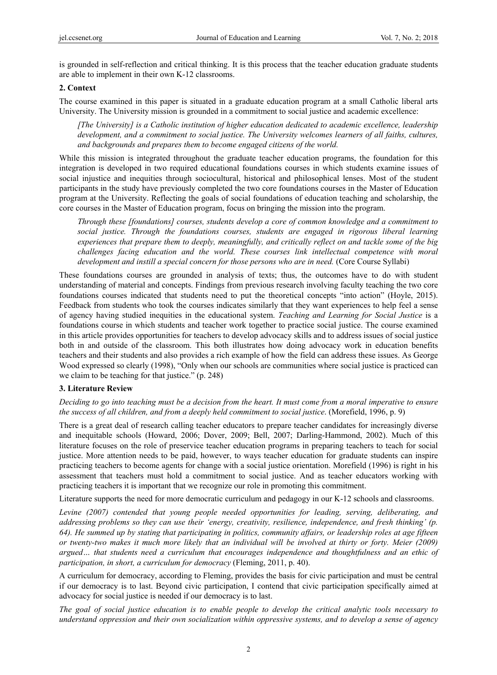is grounded in self-reflection and critical thinking. It is this process that the teacher education graduate students are able to implement in their own K-12 classrooms.

### **2. Context**

The course examined in this paper is situated in a graduate education program at a small Catholic liberal arts University. The University mission is grounded in a commitment to social justice and academic excellence:

*[The University] is a Catholic institution of higher education dedicated to academic excellence, leadership development, and a commitment to social justice. The University welcomes learners of all faiths, cultures, and backgrounds and prepares them to become engaged citizens of the world.* 

While this mission is integrated throughout the graduate teacher education programs, the foundation for this integration is developed in two required educational foundations courses in which students examine issues of social injustice and inequities through sociocultural, historical and philosophical lenses. Most of the student participants in the study have previously completed the two core foundations courses in the Master of Education program at the University. Reflecting the goals of social foundations of education teaching and scholarship, the core courses in the Master of Education program, focus on bringing the mission into the program.

*Through these [foundations] courses, students develop a core of common knowledge and a commitment to social justice. Through the foundations courses, students are engaged in rigorous liberal learning experiences that prepare them to deeply, meaningfully, and critically reflect on and tackle some of the big challenges facing education and the world. These courses link intellectual competence with moral*  development and instill a special concern for those persons who are in need. (Core Course Syllabi)

These foundations courses are grounded in analysis of texts; thus, the outcomes have to do with student understanding of material and concepts. Findings from previous research involving faculty teaching the two core foundations courses indicated that students need to put the theoretical concepts "into action" (Hoyle, 2015). Feedback from students who took the courses indicates similarly that they want experiences to help feel a sense of agency having studied inequities in the educational system. *Teaching and Learning for Social Justice* is a foundations course in which students and teacher work together to practice social justice. The course examined in this article provides opportunities for teachers to develop advocacy skills and to address issues of social justice both in and outside of the classroom. This both illustrates how doing advocacy work in education benefits teachers and their students and also provides a rich example of how the field can address these issues. As George Wood expressed so clearly (1998), "Only when our schools are communities where social justice is practiced can we claim to be teaching for that justice." (p. 248)

#### **3. Literature Review**

*Deciding to go into teaching must be a decision from the heart. It must come from a moral imperative to ensure the success of all children, and from a deeply held commitment to social justice*. (Morefield, 1996, p. 9)

There is a great deal of research calling teacher educators to prepare teacher candidates for increasingly diverse and inequitable schools (Howard, 2006; Dover, 2009; Bell, 2007; Darling-Hammond, 2002). Much of this literature focuses on the role of preservice teacher education programs in preparing teachers to teach for social justice. More attention needs to be paid, however, to ways teacher education for graduate students can inspire practicing teachers to become agents for change with a social justice orientation. Morefield (1996) is right in his assessment that teachers must hold a commitment to social justice. And as teacher educators working with practicing teachers it is important that we recognize our role in promoting this commitment.

Literature supports the need for more democratic curriculum and pedagogy in our K-12 schools and classrooms.

*Levine (2007) contended that young people needed opportunities for leading, serving, deliberating, and addressing problems so they can use their 'energy, creativity, resilience, independence, and fresh thinking' (p. 64). He summed up by stating that participating in politics, community affairs, or leadership roles at age fifteen or twenty-two makes it much more likely that an individual will be involved at thirty or forty. Meier (2009) argued… that students need a curriculum that encourages independence and thoughtfulness and an ethic of participation, in short, a curriculum for democracy* (Fleming, 2011, p. 40).

A curriculum for democracy, according to Fleming, provides the basis for civic participation and must be central if our democracy is to last. Beyond civic participation, I contend that civic participation specifically aimed at advocacy for social justice is needed if our democracy is to last.

*The goal of social justice education is to enable people to develop the critical analytic tools necessary to understand oppression and their own socialization within oppressive systems, and to develop a sense of agency*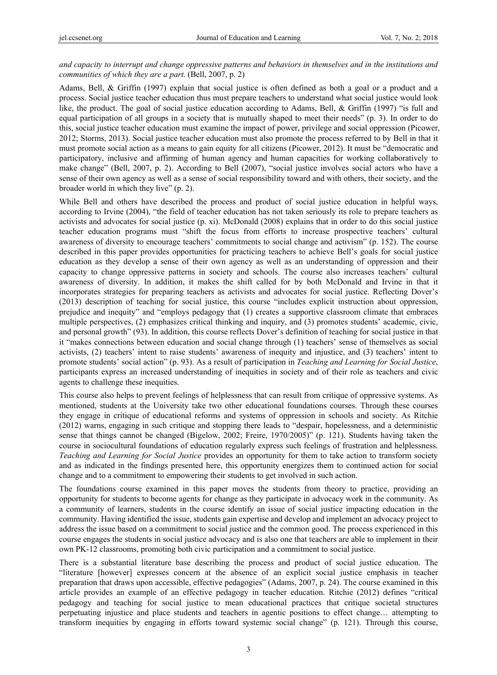## *and capacity to interrupt and change oppressive patterns and behaviors in themselves and in the institutions and communities of which they are a part.* (Bell, 2007, p. 2)

Adams, Bell, & Griffin (1997) explain that social justice is often defined as both a goal or a product and a process. Social justice teacher education thus must prepare teachers to understand what social justice would look like, the product. The goal of social justice education according to Adams, Bell, & Griffin (1997) "is full and equal participation of all groups in a society that is mutually shaped to meet their needs" (p. 3). In order to do this, social justice teacher education must examine the impact of power, privilege and social oppression (Picower, 2012; Storms, 2013). Social justice teacher education must also promote the process referred to by Bell in that it must promote social action as a means to gain equity for all citizens (Picower, 2012). It must be "democratic and participatory, inclusive and affirming of human agency and human capacities for working collaboratively to make change" (Bell, 2007, p. 2). According to Bell (2007), "social justice involves social actors who have a sense of their own agency as well as a sense of social responsibility toward and with others, their society, and the broader world in which they live" (p. 2).

While Bell and others have described the process and product of social justice education in helpful ways, according to Irvine (2004), "the field of teacher education has not taken seriously its role to prepare teachers as activists and advocates for social justice (p. xi). McDonald (2008) explains that in order to do this social justice teacher education programs must "shift the focus from efforts to increase prospective teachers' cultural awareness of diversity to encourage teachers' commitments to social change and activism" (p. 152). The course described in this paper provides opportunities for practicing teachers to achieve Bell's goals for social justice education as they develop a sense of their own agency as well as an understanding of oppression and their capacity to change oppressive patterns in society and schools. The course also increases teachers' cultural awareness of diversity. In addition, it makes the shift called for by both McDonald and Irvine in that it incorporates strategies for preparing teachers as activists and advocates for social justice. Reflecting Dover's (2013) description of teaching for social justice, this course "includes explicit instruction about oppression, prejudice and inequity" and "employs pedagogy that (1) creates a supportive classroom climate that embraces multiple perspectives, (2) emphasizes critical thinking and inquiry, and (3) promotes students' academic, civic, and personal growth" (93). In addition, this course reflects Dover's definition of teaching for social justice in that it "makes connections between education and social change through (1) teachers' sense of themselves as social activists, (2) teachers' intent to raise students' awareness of inequity and injustice, and (3) teachers' intent to promote students' social action" (p. 93). As a result of participation in *Teaching and Learning for Social Justice*, participants express an increased understanding of inequities in society and of their role as teachers and civic agents to challenge these inequities.

This course also helps to prevent feelings of helplessness that can result from critique of oppressive systems. As mentioned, students at the University take two other educational foundations courses. Through these courses they engage in critique of educational reforms and systems of oppression in schools and society. As Ritchie (2012) warns, engaging in such critique and stopping there leads to "despair, hopelessness, and a deterministic sense that things cannot be changed (Bigelow, 2002; Freire, 1970/2005)" (p. 121). Students having taken the course in sociocultural foundations of education regularly express such feelings of frustration and helplessness. *Teaching and Learning for Social Justice* provides an opportunity for them to take action to transform society and as indicated in the findings presented here, this opportunity energizes them to continued action for social change and to a commitment to empowering their students to get involved in such action.

The foundations course examined in this paper moves the students from theory to practice, providing an opportunity for students to become agents for change as they participate in advocacy work in the community. As a community of learners, students in the course identify an issue of social justice impacting education in the community. Having identified the issue, students gain expertise and develop and implement an advocacy project to address the issue based on a commitment to social justice and the common good. The process experienced in this course engages the students in social justice advocacy and is also one that teachers are able to implement in their own PK-12 classrooms, promoting both civic participation and a commitment to social justice.

There is a substantial literature base describing the process and product of social justice education. The "literature [however] expresses concern at the absence of an explicit social justice emphasis in teacher preparation that draws upon accessible, effective pedagogies" (Adams, 2007, p. 24). The course examined in this article provides an example of an effective pedagogy in teacher education. Ritchie (2012) defines "critical pedagogy and teaching for social justice to mean educational practices that critique societal structures perpetuating injustice and place students and teachers in agentic positions to effect change… attempting to transform inequities by engaging in efforts toward systemic social change" (p. 121). Through this course,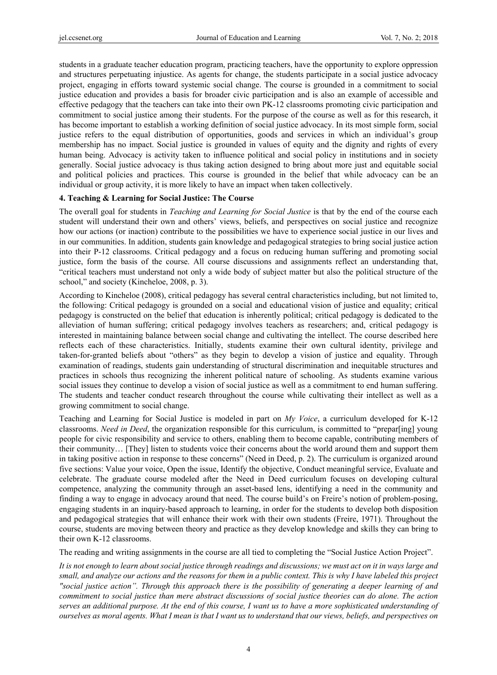students in a graduate teacher education program, practicing teachers, have the opportunity to explore oppression and structures perpetuating injustice. As agents for change, the students participate in a social justice advocacy project, engaging in efforts toward systemic social change. The course is grounded in a commitment to social justice education and provides a basis for broader civic participation and is also an example of accessible and effective pedagogy that the teachers can take into their own PK-12 classrooms promoting civic participation and commitment to social justice among their students. For the purpose of the course as well as for this research, it has become important to establish a working definition of social justice advocacy. In its most simple form, social justice refers to the equal distribution of opportunities, goods and services in which an individual's group membership has no impact. Social justice is grounded in values of equity and the dignity and rights of every human being. Advocacy is activity taken to influence political and social policy in institutions and in society generally. Social justice advocacy is thus taking action designed to bring about more just and equitable social and political policies and practices. This course is grounded in the belief that while advocacy can be an individual or group activity, it is more likely to have an impact when taken collectively.

## **4. Teaching & Learning for Social Justice: The Course**

The overall goal for students in *Teaching and Learning for Social Justice* is that by the end of the course each student will understand their own and others' views, beliefs, and perspectives on social justice and recognize how our actions (or inaction) contribute to the possibilities we have to experience social justice in our lives and in our communities. In addition, students gain knowledge and pedagogical strategies to bring social justice action into their P-12 classrooms. Critical pedagogy and a focus on reducing human suffering and promoting social justice, form the basis of the course. All course discussions and assignments reflect an understanding that, "critical teachers must understand not only a wide body of subject matter but also the political structure of the school," and society (Kincheloe, 2008, p. 3).

According to Kincheloe (2008), critical pedagogy has several central characteristics including, but not limited to, the following: Critical pedagogy is grounded on a social and educational vision of justice and equality; critical pedagogy is constructed on the belief that education is inherently political; critical pedagogy is dedicated to the alleviation of human suffering; critical pedagogy involves teachers as researchers; and, critical pedagogy is interested in maintaining balance between social change and cultivating the intellect. The course described here reflects each of these characteristics. Initially, students examine their own cultural identity, privilege and taken-for-granted beliefs about "others" as they begin to develop a vision of justice and equality. Through examination of readings, students gain understanding of structural discrimination and inequitable structures and practices in schools thus recognizing the inherent political nature of schooling. As students examine various social issues they continue to develop a vision of social justice as well as a commitment to end human suffering. The students and teacher conduct research throughout the course while cultivating their intellect as well as a growing commitment to social change.

Teaching and Learning for Social Justice is modeled in part on *My Voice*, a curriculum developed for K-12 classrooms. *Need in Deed*, the organization responsible for this curriculum, is committed to "prepar[ing] young people for civic responsibility and service to others, enabling them to become capable, contributing members of their community… [They] listen to students voice their concerns about the world around them and support them in taking positive action in response to these concerns" (Need in Deed, p. 2). The curriculum is organized around five sections: Value your voice, Open the issue, Identify the objective, Conduct meaningful service, Evaluate and celebrate. The graduate course modeled after the Need in Deed curriculum focuses on developing cultural competence, analyzing the community through an asset-based lens, identifying a need in the community and finding a way to engage in advocacy around that need. The course build's on Freire's notion of problem-posing, engaging students in an inquiry-based approach to learning, in order for the students to develop both disposition and pedagogical strategies that will enhance their work with their own students (Freire, 1971). Throughout the course, students are moving between theory and practice as they develop knowledge and skills they can bring to their own K-12 classrooms.

The reading and writing assignments in the course are all tied to completing the "Social Justice Action Project".

*It is not enough to learn about social justice through readings and discussions; we must act on it in ways large and small, and analyze our actions and the reasons for them in a public context. This is why I have labeled this project "social justice action". Through this approach there is the possibility of generating a deeper learning of and commitment to social justice than mere abstract discussions of social justice theories can do alone. The action serves an additional purpose. At the end of this course, I want us to have a more sophisticated understanding of ourselves as moral agents. What I mean is that I want us to understand that our views, beliefs, and perspectives on*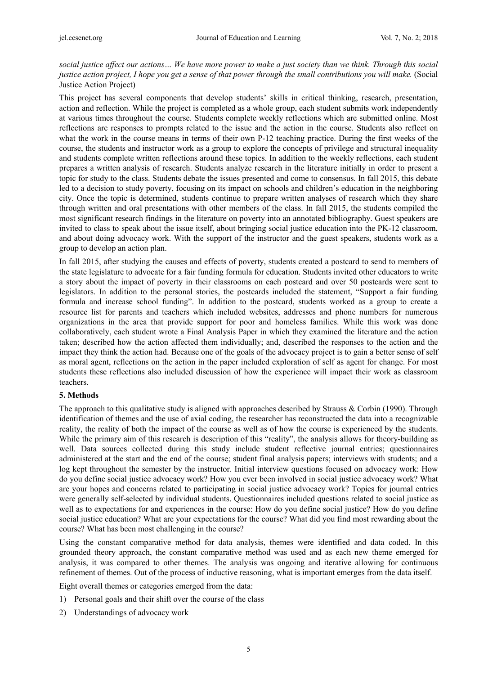*social justice affect our actions… We have more power to make a just society than we think. Through this social justice action project, I hope you get a sense of that power through the small contributions you will make.* (Social Justice Action Project)

This project has several components that develop students' skills in critical thinking, research, presentation, action and reflection. While the project is completed as a whole group, each student submits work independently at various times throughout the course. Students complete weekly reflections which are submitted online. Most reflections are responses to prompts related to the issue and the action in the course. Students also reflect on what the work in the course means in terms of their own P-12 teaching practice. During the first weeks of the course, the students and instructor work as a group to explore the concepts of privilege and structural inequality and students complete written reflections around these topics. In addition to the weekly reflections, each student prepares a written analysis of research. Students analyze research in the literature initially in order to present a topic for study to the class. Students debate the issues presented and come to consensus. In fall 2015, this debate led to a decision to study poverty, focusing on its impact on schools and children's education in the neighboring city. Once the topic is determined, students continue to prepare written analyses of research which they share through written and oral presentations with other members of the class. In fall 2015, the students compiled the most significant research findings in the literature on poverty into an annotated bibliography. Guest speakers are invited to class to speak about the issue itself, about bringing social justice education into the PK-12 classroom, and about doing advocacy work. With the support of the instructor and the guest speakers, students work as a group to develop an action plan.

In fall 2015, after studying the causes and effects of poverty, students created a postcard to send to members of the state legislature to advocate for a fair funding formula for education. Students invited other educators to write a story about the impact of poverty in their classrooms on each postcard and over 50 postcards were sent to legislators. In addition to the personal stories, the postcards included the statement, "Support a fair funding formula and increase school funding". In addition to the postcard, students worked as a group to create a resource list for parents and teachers which included websites, addresses and phone numbers for numerous organizations in the area that provide support for poor and homeless families. While this work was done collaboratively, each student wrote a Final Analysis Paper in which they examined the literature and the action taken; described how the action affected them individually; and, described the responses to the action and the impact they think the action had. Because one of the goals of the advocacy project is to gain a better sense of self as moral agent, reflections on the action in the paper included exploration of self as agent for change. For most students these reflections also included discussion of how the experience will impact their work as classroom teachers.

#### **5. Methods**

The approach to this qualitative study is aligned with approaches described by Strauss & Corbin (1990). Through identification of themes and the use of axial coding, the researcher has reconstructed the data into a recognizable reality, the reality of both the impact of the course as well as of how the course is experienced by the students. While the primary aim of this research is description of this "reality", the analysis allows for theory-building as well. Data sources collected during this study include student reflective journal entries; questionnaires administered at the start and the end of the course; student final analysis papers; interviews with students; and a log kept throughout the semester by the instructor. Initial interview questions focused on advocacy work: How do you define social justice advocacy work? How you ever been involved in social justice advocacy work? What are your hopes and concerns related to participating in social justice advocacy work? Topics for journal entries were generally self-selected by individual students. Questionnaires included questions related to social justice as well as to expectations for and experiences in the course: How do you define social justice? How do you define social justice education? What are your expectations for the course? What did you find most rewarding about the course? What has been most challenging in the course?

Using the constant comparative method for data analysis, themes were identified and data coded. In this grounded theory approach, the constant comparative method was used and as each new theme emerged for analysis, it was compared to other themes. The analysis was ongoing and iterative allowing for continuous refinement of themes. Out of the process of inductive reasoning, what is important emerges from the data itself.

Eight overall themes or categories emerged from the data:

- 1) Personal goals and their shift over the course of the class
- 2) Understandings of advocacy work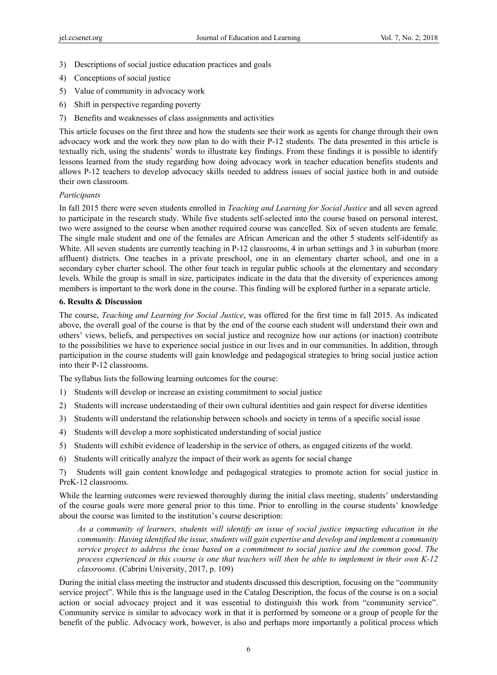- 3) Descriptions of social justice education practices and goals
- 4) Conceptions of social justice
- 5) Value of community in advocacy work
- 6) Shift in perspective regarding poverty
- 7) Benefits and weaknesses of class assignments and activities

This article focuses on the first three and how the students see their work as agents for change through their own advocacy work and the work they now plan to do with their P-12 students. The data presented in this article is textually rich, using the students' words to illustrate key findings. From these findings it is possible to identify lessons learned from the study regarding how doing advocacy work in teacher education benefits students and allows P-12 teachers to develop advocacy skills needed to address issues of social justice both in and outside their own classroom.

#### *Participants*

In fall 2015 there were seven students enrolled in *Teaching and Learning for Social Justice* and all seven agreed to participate in the research study. While five students self-selected into the course based on personal interest, two were assigned to the course when another required course was cancelled. Six of seven students are female. The single male student and one of the females are African American and the other 5 students self-identify as White. All seven students are currently teaching in P-12 classrooms, 4 in urban settings and 3 in suburban (more affluent) districts. One teaches in a private preschool, one in an elementary charter school, and one in a secondary cyber charter school. The other four teach in regular public schools at the elementary and secondary levels. While the group is small in size, participates indicate in the data that the diversity of experiences among members is important to the work done in the course. This finding will be explored further in a separate article.

#### **6. Results & Discussion**

The course, *Teaching and Learning for Social Justice*, was offered for the first time in fall 2015. As indicated above, the overall goal of the course is that by the end of the course each student will understand their own and others' views, beliefs, and perspectives on social justice and recognize how our actions (or inaction) contribute to the possibilities we have to experience social justice in our lives and in our communities. In addition, through participation in the course students will gain knowledge and pedagogical strategies to bring social justice action into their P-12 classrooms.

The syllabus lists the following learning outcomes for the course:

- 1) Students will develop or increase an existing commitment to social justice
- 2) Students will increase understanding of their own cultural identities and gain respect for diverse identities
- 3) Students will understand the relationship between schools and society in terms of a specific social issue
- 4) Students will develop a more sophisticated understanding of social justice
- 5) Students will exhibit evidence of leadership in the service of others, as engaged citizens of the world.
- 6) Students will critically analyze the impact of their work as agents for social change

7) Students will gain content knowledge and pedagogical strategies to promote action for social justice in PreK-12 classrooms.

While the learning outcomes were reviewed thoroughly during the initial class meeting, students' understanding of the course goals were more general prior to this time. Prior to enrolling in the course students' knowledge about the course was limited to the institution's course description:

*As a community of learners, students will identify an issue of social justice impacting education in the community. Having identified the issue, students will gain expertise and develop and implement a community service project to address the issue based on a commitment to social justice and the common good. The process experienced in this course is one that teachers will then be able to implement in their own K-12 classrooms.* (Cabrini University, 2017, p. 109)

During the initial class meeting the instructor and students discussed this description, focusing on the "community service project". While this is the language used in the Catalog Description, the focus of the course is on a social action or social advocacy project and it was essential to distinguish this work from "community service". Community service is similar to advocacy work in that it is performed by someone or a group of people for the benefit of the public. Advocacy work, however, is also and perhaps more importantly a political process which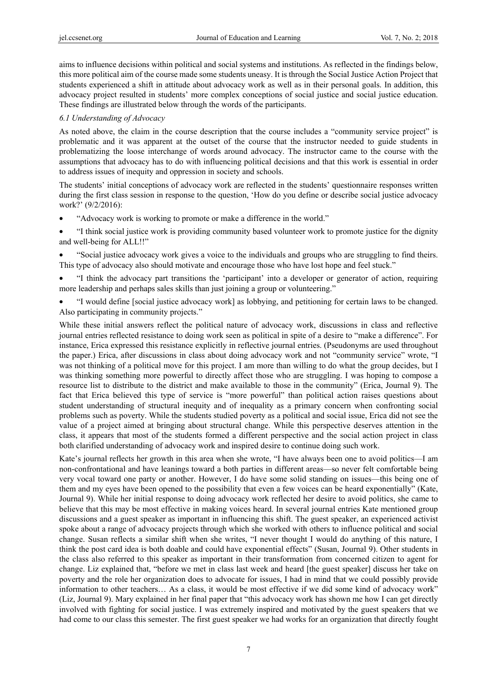aims to influence decisions within political and social systems and institutions. As reflected in the findings below, this more political aim of the course made some students uneasy. It is through the Social Justice Action Project that students experienced a shift in attitude about advocacy work as well as in their personal goals. In addition, this advocacy project resulted in students' more complex conceptions of social justice and social justice education. These findings are illustrated below through the words of the participants.

## *6.1 Understanding of Advocacy*

As noted above, the claim in the course description that the course includes a "community service project" is problematic and it was apparent at the outset of the course that the instructor needed to guide students in problematizing the loose interchange of words around advocacy. The instructor came to the course with the assumptions that advocacy has to do with influencing political decisions and that this work is essential in order to address issues of inequity and oppression in society and schools.

The students' initial conceptions of advocacy work are reflected in the students' questionnaire responses written during the first class session in response to the question, 'How do you define or describe social justice advocacy work?' (9/2/2016):

- "Advocacy work is working to promote or make a difference in the world."
- "I think social justice work is providing community based volunteer work to promote justice for the dignity and well-being for ALL!!"
- "Social justice advocacy work gives a voice to the individuals and groups who are struggling to find theirs. This type of advocacy also should motivate and encourage those who have lost hope and feel stuck."
- "I think the advocacy part transitions the 'participant' into a developer or generator of action, requiring more leadership and perhaps sales skills than just joining a group or volunteering."
- "I would define [social justice advocacy work] as lobbying, and petitioning for certain laws to be changed. Also participating in community projects."

While these initial answers reflect the political nature of advocacy work, discussions in class and reflective journal entries reflected resistance to doing work seen as political in spite of a desire to "make a difference". For instance, Erica expressed this resistance explicitly in reflective journal entries. (Pseudonyms are used throughout the paper.) Erica, after discussions in class about doing advocacy work and not "community service" wrote, "I was not thinking of a political move for this project. I am more than willing to do what the group decides, but I was thinking something more powerful to directly affect those who are struggling. I was hoping to compose a resource list to distribute to the district and make available to those in the community" (Erica, Journal 9). The fact that Erica believed this type of service is "more powerful" than political action raises questions about student understanding of structural inequity and of inequality as a primary concern when confronting social problems such as poverty. While the students studied poverty as a political and social issue, Erica did not see the value of a project aimed at bringing about structural change. While this perspective deserves attention in the class, it appears that most of the students formed a different perspective and the social action project in class both clarified understanding of advocacy work and inspired desire to continue doing such work.

Kate's journal reflects her growth in this area when she wrote, "I have always been one to avoid politics—I am non-confrontational and have leanings toward a both parties in different areas—so never felt comfortable being very vocal toward one party or another. However, I do have some solid standing on issues—this being one of them and my eyes have been opened to the possibility that even a few voices can be heard exponentially" (Kate, Journal 9). While her initial response to doing advocacy work reflected her desire to avoid politics, she came to believe that this may be most effective in making voices heard. In several journal entries Kate mentioned group discussions and a guest speaker as important in influencing this shift. The guest speaker, an experienced activist spoke about a range of advocacy projects through which she worked with others to influence political and social change. Susan reflects a similar shift when she writes, "I never thought I would do anything of this nature, I think the post card idea is both doable and could have exponential effects" (Susan, Journal 9). Other students in the class also referred to this speaker as important in their transformation from concerned citizen to agent for change. Liz explained that, "before we met in class last week and heard [the guest speaker] discuss her take on poverty and the role her organization does to advocate for issues, I had in mind that we could possibly provide information to other teachers… As a class, it would be most effective if we did some kind of advocacy work" (Liz, Journal 9). Mary explained in her final paper that "this advocacy work has shown me how I can get directly involved with fighting for social justice. I was extremely inspired and motivated by the guest speakers that we had come to our class this semester. The first guest speaker we had works for an organization that directly fought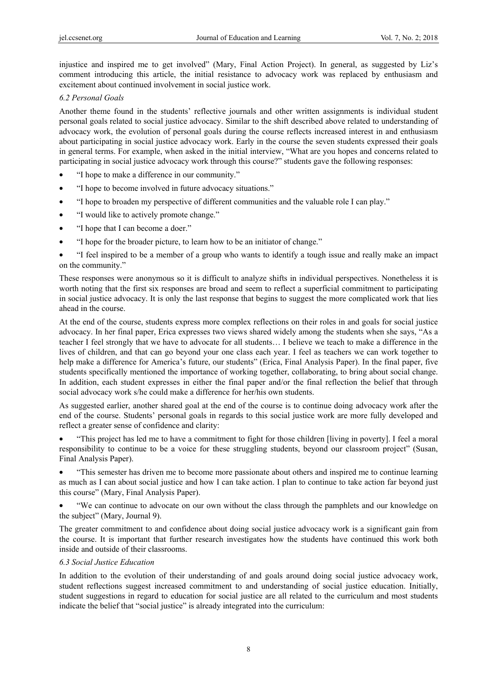injustice and inspired me to get involved" (Mary, Final Action Project). In general, as suggested by Liz's comment introducing this article, the initial resistance to advocacy work was replaced by enthusiasm and excitement about continued involvement in social justice work.

## *6.2 Personal Goals*

Another theme found in the students' reflective journals and other written assignments is individual student personal goals related to social justice advocacy. Similar to the shift described above related to understanding of advocacy work, the evolution of personal goals during the course reflects increased interest in and enthusiasm about participating in social justice advocacy work. Early in the course the seven students expressed their goals in general terms. For example, when asked in the initial interview, "What are you hopes and concerns related to participating in social justice advocacy work through this course?" students gave the following responses:

- "I hope to make a difference in our community."
- "I hope to become involved in future advocacy situations."
- "I hope to broaden my perspective of different communities and the valuable role I can play."
- "I would like to actively promote change."
- "I hope that I can become a doer."
- "I hope for the broader picture, to learn how to be an initiator of change."
- "I feel inspired to be a member of a group who wants to identify a tough issue and really make an impact on the community."

These responses were anonymous so it is difficult to analyze shifts in individual perspectives. Nonetheless it is worth noting that the first six responses are broad and seem to reflect a superficial commitment to participating in social justice advocacy. It is only the last response that begins to suggest the more complicated work that lies ahead in the course.

At the end of the course, students express more complex reflections on their roles in and goals for social justice advocacy. In her final paper, Erica expresses two views shared widely among the students when she says, "As a teacher I feel strongly that we have to advocate for all students… I believe we teach to make a difference in the lives of children, and that can go beyond your one class each year. I feel as teachers we can work together to help make a difference for America's future, our students" (Erica, Final Analysis Paper). In the final paper, five students specifically mentioned the importance of working together, collaborating, to bring about social change. In addition, each student expresses in either the final paper and/or the final reflection the belief that through social advocacy work s/he could make a difference for her/his own students.

As suggested earlier, another shared goal at the end of the course is to continue doing advocacy work after the end of the course. Students' personal goals in regards to this social justice work are more fully developed and reflect a greater sense of confidence and clarity:

• "This project has led me to have a commitment to fight for those children [living in poverty]. I feel a moral responsibility to continue to be a voice for these struggling students, beyond our classroom project" (Susan, Final Analysis Paper).

• "This semester has driven me to become more passionate about others and inspired me to continue learning as much as I can about social justice and how I can take action. I plan to continue to take action far beyond just this course" (Mary, Final Analysis Paper).

• "We can continue to advocate on our own without the class through the pamphlets and our knowledge on the subject" (Mary, Journal 9).

The greater commitment to and confidence about doing social justice advocacy work is a significant gain from the course. It is important that further research investigates how the students have continued this work both inside and outside of their classrooms.

# *6.3 Social Justice Education*

In addition to the evolution of their understanding of and goals around doing social justice advocacy work, student reflections suggest increased commitment to and understanding of social justice education. Initially, student suggestions in regard to education for social justice are all related to the curriculum and most students indicate the belief that "social justice" is already integrated into the curriculum: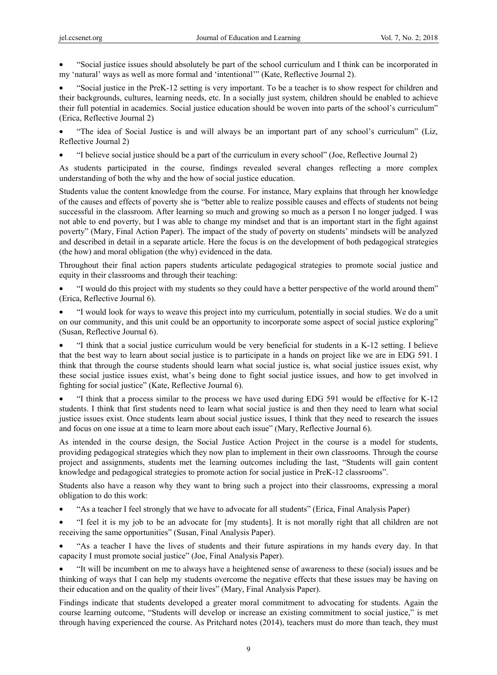• "Social justice issues should absolutely be part of the school curriculum and I think can be incorporated in my 'natural' ways as well as more formal and 'intentional'" (Kate, Reflective Journal 2).

• "Social justice in the PreK-12 setting is very important. To be a teacher is to show respect for children and their backgrounds, cultures, learning needs, etc. In a socially just system, children should be enabled to achieve their full potential in academics. Social justice education should be woven into parts of the school's curriculum" (Erica, Reflective Journal 2)

• "The idea of Social Justice is and will always be an important part of any school's curriculum" (Liz, Reflective Journal 2)

• "I believe social justice should be a part of the curriculum in every school" (Joe, Reflective Journal 2)

As students participated in the course, findings revealed several changes reflecting a more complex understanding of both the why and the how of social justice education.

Students value the content knowledge from the course. For instance, Mary explains that through her knowledge of the causes and effects of poverty she is "better able to realize possible causes and effects of students not being successful in the classroom. After learning so much and growing so much as a person I no longer judged. I was not able to end poverty, but I was able to change my mindset and that is an important start in the fight against poverty" (Mary, Final Action Paper). The impact of the study of poverty on students' mindsets will be analyzed and described in detail in a separate article. Here the focus is on the development of both pedagogical strategies (the how) and moral obligation (the why) evidenced in the data.

Throughout their final action papers students articulate pedagogical strategies to promote social justice and equity in their classrooms and through their teaching:

- "I would do this project with my students so they could have a better perspective of the world around them" (Erica, Reflective Journal 6).
- "I would look for ways to weave this project into my curriculum, potentially in social studies. We do a unit on our community, and this unit could be an opportunity to incorporate some aspect of social justice exploring" (Susan, Reflective Journal 6).

• "I think that a social justice curriculum would be very beneficial for students in a K-12 setting. I believe that the best way to learn about social justice is to participate in a hands on project like we are in EDG 591. I think that through the course students should learn what social justice is, what social justice issues exist, why these social justice issues exist, what's being done to fight social justice issues, and how to get involved in fighting for social justice" (Kate, Reflective Journal 6).

• "I think that a process similar to the process we have used during EDG 591 would be effective for K-12 students. I think that first students need to learn what social justice is and then they need to learn what social justice issues exist. Once students learn about social justice issues, I think that they need to research the issues and focus on one issue at a time to learn more about each issue" (Mary, Reflective Journal 6).

As intended in the course design, the Social Justice Action Project in the course is a model for students, providing pedagogical strategies which they now plan to implement in their own classrooms. Through the course project and assignments, students met the learning outcomes including the last, "Students will gain content knowledge and pedagogical strategies to promote action for social justice in PreK-12 classrooms".

Students also have a reason why they want to bring such a project into their classrooms, expressing a moral obligation to do this work:

- "As a teacher I feel strongly that we have to advocate for all students" (Erica, Final Analysis Paper)
- "I feel it is my job to be an advocate for [my students]. It is not morally right that all children are not receiving the same opportunities" (Susan, Final Analysis Paper).

• "As a teacher I have the lives of students and their future aspirations in my hands every day. In that capacity I must promote social justice" (Joe, Final Analysis Paper).

• "It will be incumbent on me to always have a heightened sense of awareness to these (social) issues and be thinking of ways that I can help my students overcome the negative effects that these issues may be having on their education and on the quality of their lives" (Mary, Final Analysis Paper).

Findings indicate that students developed a greater moral commitment to advocating for students. Again the course learning outcome, "Students will develop or increase an existing commitment to social justice," is met through having experienced the course. As Pritchard notes (2014), teachers must do more than teach, they must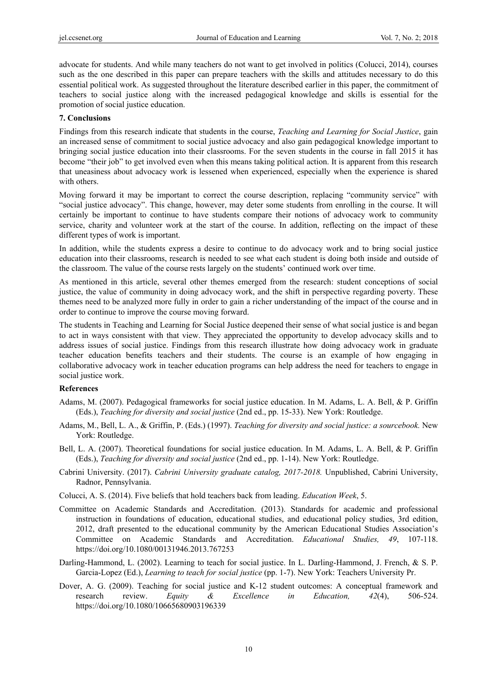advocate for students. And while many teachers do not want to get involved in politics (Colucci, 2014), courses such as the one described in this paper can prepare teachers with the skills and attitudes necessary to do this essential political work. As suggested throughout the literature described earlier in this paper, the commitment of teachers to social justice along with the increased pedagogical knowledge and skills is essential for the promotion of social justice education.

#### **7. Conclusions**

Findings from this research indicate that students in the course, *Teaching and Learning for Social Justice*, gain an increased sense of commitment to social justice advocacy and also gain pedagogical knowledge important to bringing social justice education into their classrooms. For the seven students in the course in fall 2015 it has become "their job" to get involved even when this means taking political action. It is apparent from this research that uneasiness about advocacy work is lessened when experienced, especially when the experience is shared with others.

Moving forward it may be important to correct the course description, replacing "community service" with "social justice advocacy". This change, however, may deter some students from enrolling in the course. It will certainly be important to continue to have students compare their notions of advocacy work to community service, charity and volunteer work at the start of the course. In addition, reflecting on the impact of these different types of work is important.

In addition, while the students express a desire to continue to do advocacy work and to bring social justice education into their classrooms, research is needed to see what each student is doing both inside and outside of the classroom. The value of the course rests largely on the students' continued work over time.

As mentioned in this article, several other themes emerged from the research: student conceptions of social justice, the value of community in doing advocacy work, and the shift in perspective regarding poverty. These themes need to be analyzed more fully in order to gain a richer understanding of the impact of the course and in order to continue to improve the course moving forward.

The students in Teaching and Learning for Social Justice deepened their sense of what social justice is and began to act in ways consistent with that view. They appreciated the opportunity to develop advocacy skills and to address issues of social justice. Findings from this research illustrate how doing advocacy work in graduate teacher education benefits teachers and their students. The course is an example of how engaging in collaborative advocacy work in teacher education programs can help address the need for teachers to engage in social justice work.

#### **References**

- Adams, M. (2007). Pedagogical frameworks for social justice education. In M. Adams, L. A. Bell, & P. Griffin (Eds.), *Teaching for diversity and social justice* (2nd ed., pp. 15-33). New York: Routledge.
- Adams, M., Bell, L. A., & Griffin, P. (Eds.) (1997). *Teaching for diversity and social justice: a sourcebook.* New York: Routledge.
- Bell, L. A. (2007). Theoretical foundations for social justice education. In M. Adams, L. A. Bell, & P. Griffin (Eds.), *Teaching for diversity and social justice* (2nd ed., pp. 1-14). New York: Routledge.
- Cabrini University. (2017). *Cabrini University graduate catalog, 2017-2018.* Unpublished, Cabrini University, Radnor, Pennsylvania.
- Colucci, A. S. (2014). Five beliefs that hold teachers back from leading. *Education Week*, 5.
- Committee on Academic Standards and Accreditation. (2013). Standards for academic and professional instruction in foundations of education, educational studies, and educational policy studies, 3rd edition, 2012, draft presented to the educational community by the American Educational Studies Association's Committee on Academic Standards and Accreditation. *Educational Studies, 49*, 107-118. https://doi.org/10.1080/00131946.2013.767253
- Darling-Hammond, L. (2002). Learning to teach for social justice. In L. Darling-Hammond, J. French, & S. P. Garcia-Lopez (Ed.), *Learning to teach for social justice* (pp. 1-7). New York: Teachers University Pr.
- Dover, A. G. (2009). Teaching for social justice and K-12 student outcomes: A conceptual framework and research review. *Equity & Excellence in Education, 42*(4), 506-524. https://doi.org/10.1080/10665680903196339